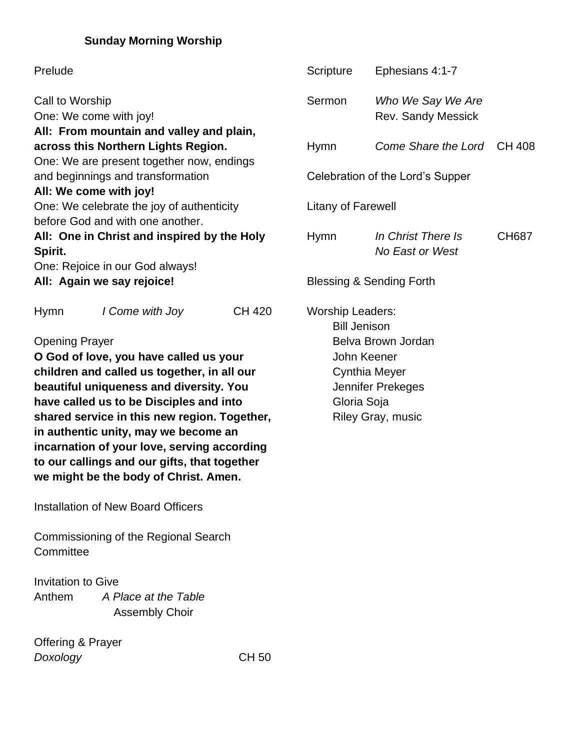## **Sunday Morning Worship**

| Prelude                                                                                                                                                                                                                                                                                                                                                                                                                                                                          |                                               |                                                                                                                                                                             | Scripture                           | Ephesians 4:1-7                                |              |
|----------------------------------------------------------------------------------------------------------------------------------------------------------------------------------------------------------------------------------------------------------------------------------------------------------------------------------------------------------------------------------------------------------------------------------------------------------------------------------|-----------------------------------------------|-----------------------------------------------------------------------------------------------------------------------------------------------------------------------------|-------------------------------------|------------------------------------------------|--------------|
| Call to Worship<br>One: We come with joy!                                                                                                                                                                                                                                                                                                                                                                                                                                        |                                               |                                                                                                                                                                             | Sermon                              | Who We Say We Are<br><b>Rev. Sandy Messick</b> |              |
| All: From mountain and valley and plain,<br>across this Northern Lights Region.                                                                                                                                                                                                                                                                                                                                                                                                  |                                               |                                                                                                                                                                             | <b>Hymn</b>                         | Come Share the Lord CH 408                     |              |
| One: We are present together now, endings                                                                                                                                                                                                                                                                                                                                                                                                                                        |                                               |                                                                                                                                                                             |                                     |                                                |              |
| and beginnings and transformation                                                                                                                                                                                                                                                                                                                                                                                                                                                |                                               |                                                                                                                                                                             | Celebration of the Lord's Supper    |                                                |              |
|                                                                                                                                                                                                                                                                                                                                                                                                                                                                                  | All: We come with joy!                        |                                                                                                                                                                             |                                     |                                                |              |
| One: We celebrate the joy of authenticity                                                                                                                                                                                                                                                                                                                                                                                                                                        |                                               |                                                                                                                                                                             | Litany of Farewell                  |                                                |              |
|                                                                                                                                                                                                                                                                                                                                                                                                                                                                                  | before God and with one another.              |                                                                                                                                                                             |                                     |                                                |              |
| All: One in Christ and inspired by the Holy                                                                                                                                                                                                                                                                                                                                                                                                                                      |                                               |                                                                                                                                                                             | <b>Hymn</b>                         | In Christ There Is                             | <b>CH687</b> |
| Spirit.                                                                                                                                                                                                                                                                                                                                                                                                                                                                          |                                               |                                                                                                                                                                             |                                     | No East or West                                |              |
|                                                                                                                                                                                                                                                                                                                                                                                                                                                                                  | One: Rejoice in our God always!               |                                                                                                                                                                             |                                     |                                                |              |
| All: Again we say rejoice!                                                                                                                                                                                                                                                                                                                                                                                                                                                       |                                               |                                                                                                                                                                             | <b>Blessing &amp; Sending Forth</b> |                                                |              |
| Hymn<br><b>CH 420</b><br>I Come with Joy<br><b>Opening Prayer</b><br>O God of love, you have called us your<br>children and called us together, in all our<br>beautiful uniqueness and diversity. You<br>have called us to be Disciples and into<br>shared service in this new region. Together,<br>in authentic unity, may we become an<br>incarnation of your love, serving according<br>to our callings and our gifts, that together<br>we might be the body of Christ. Amen. |                                               | <b>Worship Leaders:</b><br><b>Bill Jenison</b><br>Belva Brown Jordan<br>John Keener<br><b>Cynthia Meyer</b><br>Jennifer Prekeges<br>Gloria Soja<br><b>Riley Gray, music</b> |                                     |                                                |              |
|                                                                                                                                                                                                                                                                                                                                                                                                                                                                                  | <b>Installation of New Board Officers</b>     |                                                                                                                                                                             |                                     |                                                |              |
| Committee                                                                                                                                                                                                                                                                                                                                                                                                                                                                        | Commissioning of the Regional Search          |                                                                                                                                                                             |                                     |                                                |              |
| <b>Invitation to Give</b>                                                                                                                                                                                                                                                                                                                                                                                                                                                        |                                               |                                                                                                                                                                             |                                     |                                                |              |
| Anthem                                                                                                                                                                                                                                                                                                                                                                                                                                                                           | A Place at the Table<br><b>Assembly Choir</b> |                                                                                                                                                                             |                                     |                                                |              |

Offering & Prayer *Doxology* CH 50